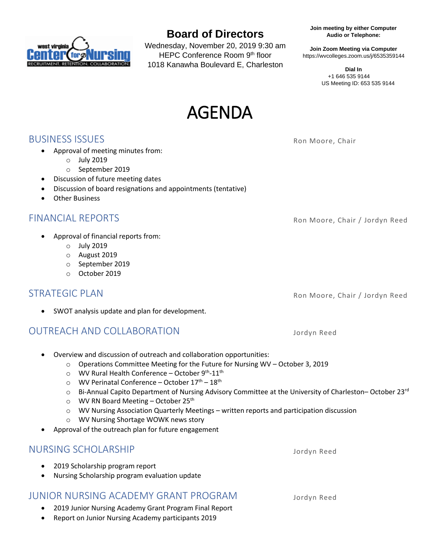

# **Board of Directors**

Wednesday, November 20, 2019 9:30 am HEPC Conference Room 9th floor 1018 Kanawha Boulevard E, Charleston

**Audio or Telephone: Join meeting by either Computer**

https://wvcolleges.zoom.us/j/6535359144 **Join Zoom Meeting via Computer**

> US Meeting ID: 653 535 9144 +1 646 535 9144 **Dial In**



**BUSINESS ISSUES** Ron Moore, Chair

• Approval of meeting minutes from:

- o July 2019
- o September 2019
- Discussion of future meeting dates
- Discussion of board resignations and appointments (tentative)
- Other Business

- Approval of financial reports from:
	- o July 2019
	- o August 2019
	- o September 2019
	- o October 2019

### STRATEGIC PLAN Ron Moore, Chair / Jordyn Reed

SWOT analysis update and plan for development.

### OUTREACH AND COLLABORATION Jordyn Reed

- Overview and discussion of outreach and collaboration opportunities:
	- o Operations Committee Meeting for the Future for Nursing WV October 3, 2019
	- o WV Rural Health Conference October 9th-11<sup>th</sup>
	- $\circ$  WV Perinatal Conference October  $17<sup>th</sup> 18<sup>th</sup>$
	- o Bi-Annual Capito Department of Nursing Advisory Committee at the University of Charleston-October 23<sup>rd</sup>
	- $\circ$  WV RN Board Meeting October 25<sup>th</sup>
	- o WV Nursing Association Quarterly Meetings written reports and participation discussion
	- o WV Nursing Shortage WOWK news story
- Approval of the outreach plan for future engagement

#### NURSING SCHOLARSHIP Jordyn Reed

- 2019 Scholarship program report
- Nursing Scholarship program evaluation update

### JUNIOR NURSING ACADEMY GRANT PROGRAM Jordyn Reed

- 2019 Junior Nursing Academy Grant Program Final Report
- Report on Junior Nursing Academy participants 2019

FINANCIAL REPORTS **Roman Contract Contract Contract Contract Contract Contract Contract Contract Contract Contract Contract Contract Contract Contract Contract Contract Contract Contract Contract Contract Contract Contract**